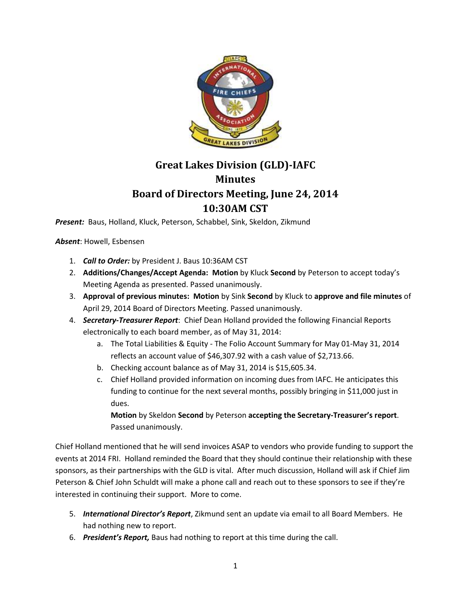

# **Great Lakes Division (GLD)-IAFC Minutes Board of Directors Meeting, June 24, 2014 10:30AM CST**

*Present:* Baus, Holland, Kluck, Peterson, Schabbel, Sink, Skeldon, Zikmund

*Absent*: Howell, Esbensen

- 1. *Call to Order:* by President J. Baus 10:36AM CST
- 2. **Additions/Changes/Accept Agenda: Motion** by Kluck **Second** by Peterson to accept today's Meeting Agenda as presented. Passed unanimously.
- 3. **Approval of previous minutes: Motion** by Sink **Second** by Kluck to **approve and file minutes** of April 29, 2014 Board of Directors Meeting. Passed unanimously.
- 4. *Secretary-Treasurer Report*: Chief Dean Holland provided the following Financial Reports electronically to each board member, as of May 31, 2014:
	- a. The Total Liabilities & Equity The Folio Account Summary for May 01-May 31, 2014 reflects an account value of \$46,307.92 with a cash value of \$2,713.66.
	- b. Checking account balance as of May 31, 2014 is \$15,605.34.
	- c. Chief Holland provided information on incoming dues from IAFC. He anticipates this funding to continue for the next several months, possibly bringing in \$11,000 just in dues.

**Motion** by Skeldon **Second** by Peterson **accepting the Secretary-Treasurer's report**. Passed unanimously.

Chief Holland mentioned that he will send invoices ASAP to vendors who provide funding to support the events at 2014 FRI. Holland reminded the Board that they should continue their relationship with these sponsors, as their partnerships with the GLD is vital. After much discussion, Holland will ask if Chief Jim Peterson & Chief John Schuldt will make a phone call and reach out to these sponsors to see if they're interested in continuing their support. More to come.

- 5. *International Director's Report*, Zikmund sent an update via email to all Board Members. He had nothing new to report.
- 6. *President's Report,* Baus had nothing to report at this time during the call.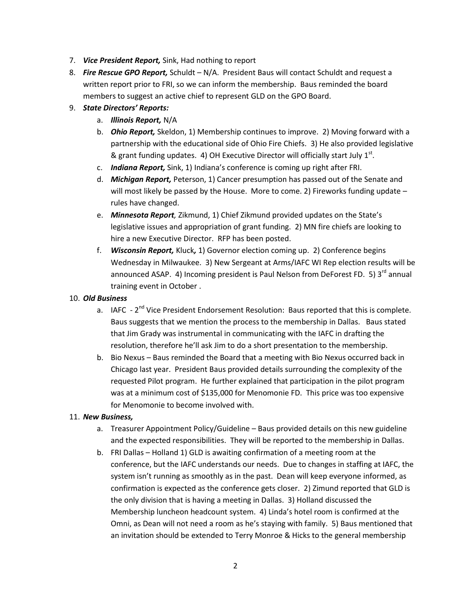- 7. *Vice President Report,* Sink, Had nothing to report
- 8. *Fire Rescue GPO Report,* Schuldt N/A.President Baus will contact Schuldt and request a written report prior to FRI, so we can inform the membership. Baus reminded the board members to suggest an active chief to represent GLD on the GPO Board.

#### 9. *State Directors' Reports:*

- a. *Illinois Report,* N/A
- b. *Ohio Report,* Skeldon, 1) Membership continues to improve. 2) Moving forward with a partnership with the educational side of Ohio Fire Chiefs. 3) He also provided legislative & grant funding updates. 4) OH Executive Director will officially start July  $1^{st}$ .
- c. *Indiana Report,* Sink, 1) Indiana's conference is coming up right after FRI.
- d. *Michigan Report,* Peterson, 1) Cancer presumption has passed out of the Senate and will most likely be passed by the House. More to come. 2) Fireworks funding update  $$ rules have changed.
- e. *Minnesota Report,* Zikmund, 1) Chief Zikmund provided updates on the State's legislative issues and appropriation of grant funding. 2) MN fire chiefs are looking to hire a new Executive Director. RFP has been posted.
- f. *Wisconsin Report,* Kluck*,* 1) Governor election coming up. 2) Conference begins Wednesday in Milwaukee. 3) New Sergeant at Arms/IAFC WI Rep election results will be announced ASAP. 4) Incoming president is Paul Nelson from DeForest FD. 5)  $3<sup>rd</sup>$  annual training event in October .

#### 10. *Old Business*

- a. IAFC 2<sup>nd</sup> Vice President Endorsement Resolution: Baus reported that this is complete. Baus suggests that we mention the process to the membership in Dallas. Baus stated that Jim Grady was instrumental in communicating with the IAFC in drafting the resolution, therefore he'll ask Jim to do a short presentation to the membership.
- b. Bio Nexus Baus reminded the Board that a meeting with Bio Nexus occurred back in Chicago last year. President Baus provided details surrounding the complexity of the requested Pilot program. He further explained that participation in the pilot program was at a minimum cost of \$135,000 for Menomonie FD. This price was too expensive for Menomonie to become involved with.

## 11. *New Business,*

- a. Treasurer Appointment Policy/Guideline Baus provided details on this new guideline and the expected responsibilities. They will be reported to the membership in Dallas.
- b. FRI Dallas Holland 1) GLD is awaiting confirmation of a meeting room at the conference, but the IAFC understands our needs. Due to changes in staffing at IAFC, the system isn't running as smoothly as in the past. Dean will keep everyone informed, as confirmation is expected as the conference gets closer. 2) Zimund reported that GLD is the only division that is having a meeting in Dallas. 3) Holland discussed the Membership luncheon headcount system. 4) Linda's hotel room is confirmed at the Omni, as Dean will not need a room as he's staying with family. 5) Baus mentioned that an invitation should be extended to Terry Monroe & Hicks to the general membership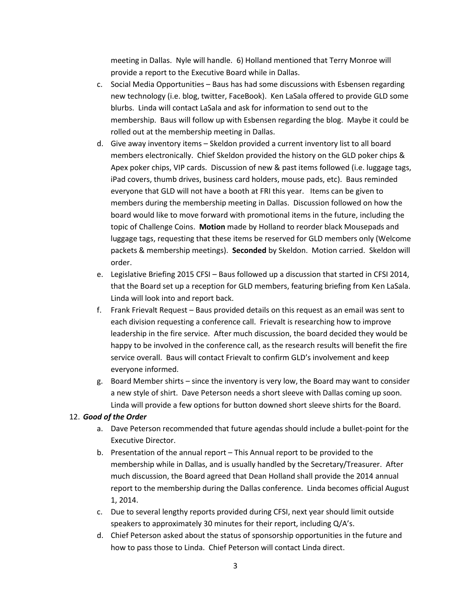meeting in Dallas. Nyle will handle. 6) Holland mentioned that Terry Monroe will provide a report to the Executive Board while in Dallas.

- c. Social Media Opportunities Baus has had some discussions with Esbensen regarding new technology (i.e. blog, twitter, FaceBook). Ken LaSala offered to provide GLD some blurbs. Linda will contact LaSala and ask for information to send out to the membership. Baus will follow up with Esbensen regarding the blog. Maybe it could be rolled out at the membership meeting in Dallas.
- d. Give away inventory items Skeldon provided a current inventory list to all board members electronically. Chief Skeldon provided the history on the GLD poker chips & Apex poker chips, VIP cards. Discussion of new & past items followed (i.e. luggage tags, iPad covers, thumb drives, business card holders, mouse pads, etc). Baus reminded everyone that GLD will not have a booth at FRI this year. Items can be given to members during the membership meeting in Dallas. Discussion followed on how the board would like to move forward with promotional items in the future, including the topic of Challenge Coins. **Motion** made by Holland to reorder black Mousepads and luggage tags, requesting that these items be reserved for GLD members only (Welcome packets & membership meetings). **Seconded** by Skeldon. Motion carried. Skeldon will order.
- e. Legislative Briefing 2015 CFSI Baus followed up a discussion that started in CFSI 2014, that the Board set up a reception for GLD members, featuring briefing from Ken LaSala. Linda will look into and report back.
- f. Frank Frievalt Request Baus provided details on this request as an email was sent to each division requesting a conference call. Frievalt is researching how to improve leadership in the fire service. After much discussion, the board decided they would be happy to be involved in the conference call, as the research results will benefit the fire service overall. Baus will contact Frievalt to confirm GLD's involvement and keep everyone informed.
- g. Board Member shirts since the inventory is very low, the Board may want to consider a new style of shirt. Dave Peterson needs a short sleeve with Dallas coming up soon. Linda will provide a few options for button downed short sleeve shirts for the Board.

## 12. *Good of the Order*

- a. Dave Peterson recommended that future agendas should include a bullet-point for the Executive Director.
- b. Presentation of the annual report This Annual report to be provided to the membership while in Dallas, and is usually handled by the Secretary/Treasurer. After much discussion, the Board agreed that Dean Holland shall provide the 2014 annual report to the membership during the Dallas conference. Linda becomes official August 1, 2014.
- c. Due to several lengthy reports provided during CFSI, next year should limit outside speakers to approximately 30 minutes for their report, including Q/A's.
- d. Chief Peterson asked about the status of sponsorship opportunities in the future and how to pass those to Linda. Chief Peterson will contact Linda direct.